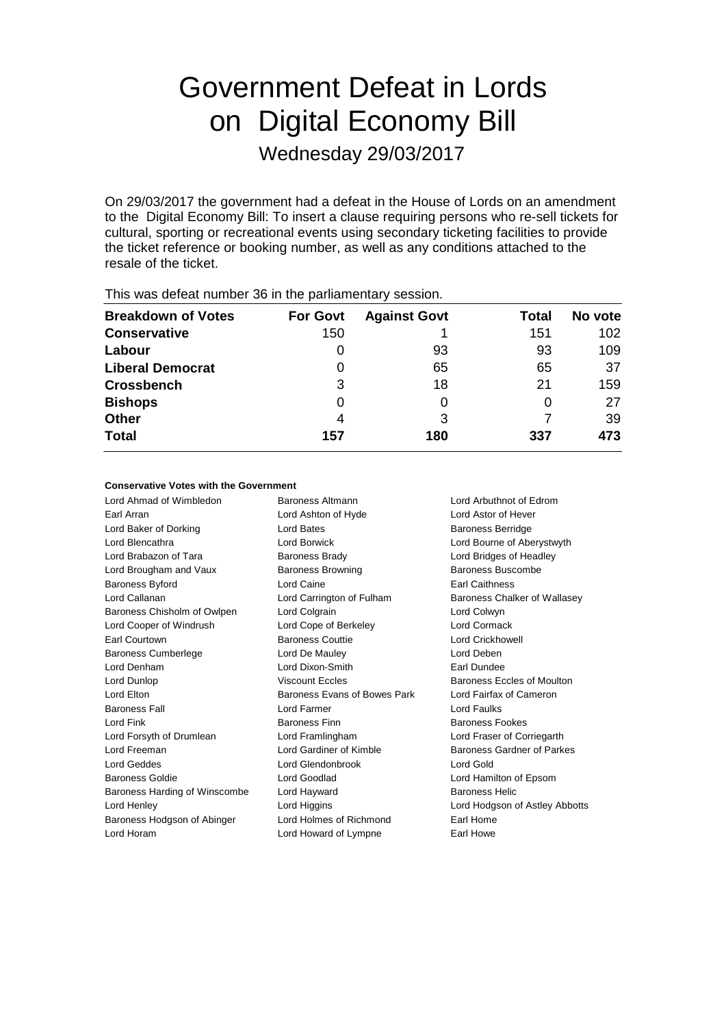# Government Defeat in Lords on Digital Economy Bill

Wednesday 29/03/2017

On 29/03/2017 the government had a defeat in the House of Lords on an amendment to the Digital Economy Bill: To insert a clause requiring persons who re-sell tickets for cultural, sporting or recreational events using secondary ticketing facilities to provide the ticket reference or booking number, as well as any conditions attached to the resale of the ticket.

| This was abloat harnoor oo in the parliamentary occoloni. |                 |                     |       |         |  |  |  |
|-----------------------------------------------------------|-----------------|---------------------|-------|---------|--|--|--|
| <b>Breakdown of Votes</b>                                 | <b>For Govt</b> | <b>Against Govt</b> | Total | No vote |  |  |  |
| <b>Conservative</b>                                       | 150             |                     | 151   | 102     |  |  |  |
| Labour                                                    | 0               | 93                  | 93    | 109     |  |  |  |
| <b>Liberal Democrat</b>                                   | 0               | 65                  | 65    | 37      |  |  |  |
| <b>Crossbench</b>                                         | 3               | 18                  | 21    | 159     |  |  |  |
| <b>Bishops</b>                                            | 0               | 0                   | 0     | 27      |  |  |  |
| <b>Other</b>                                              | 4               | 3                   |       | 39      |  |  |  |
| <b>Total</b>                                              | 157             | 180                 | 337   | 473     |  |  |  |
|                                                           |                 |                     |       |         |  |  |  |

This was defeat number 36 in the parliamentary session.

# **Conservative Votes with the Government**

Lord Ahmad of Wimbledon Baroness Altmann Lord Arbuthnot of Edrom Earl Arran Lord Ashton of Hyde Lord Astor of Hever Lord Baker of Dorking **Communist Constructs** Lord Bates **Baroness Berridge** Lord Blencathra Lord Borwick Lord Bourne of Aberystwyth Lord Brabazon of Tara **Baroness Brady Communist Constructs** Lord Bridges of Headley Lord Brougham and Vaux **Baroness Browning** Baroness Buscombe Baroness Byford **Earl Caire** Earl Caithness **Earl Caithness** Lord Callanan **Lord Carrington of Fulham** Baroness Chalker of Wallasey Baroness Chisholm of Owlpen Lord Colgrain Lord Colwyn Lord Cooper of Windrush Lord Cope of Berkeley Lord Cormack Earl Courtown **Baroness Couttie Lord Crickhowell** Baroness Cumberlege Lord De Mauley Lord Deben Lord Denham Lord Dixon-Smith Earl Dundee Lord Dunlop **Viscount Eccles** Baroness Eccles of Moulton Lord Elton Baroness Evans of Bowes Park Lord Fairfax of Cameron Baroness Fall **Example 2** Lord Farmer **Lord Faultist Lord Faults** Lord Fink Baroness Finn Baroness Fookes Lord Forsyth of Drumlean Lord Framlingham Lord Fraser of Corriegarth Lord Freeman **Lord Gardiner of Kimble** Baroness Gardner of Parkes Lord Geddes Lord Glendonbrook Lord Gold Baroness Goldie Lord Goodlad Lord Hamilton of Epsom Baroness Harding of Winscombe Lord Hayward **Baroness Helic** Baroness Helic Lord Henley Lord Higgins Lord Hodgson of Astley Abbotts Baroness Hodgson of Abinger Lord Holmes of Richmond Earl Home Lord Horam **Lord Howard of Lympne** Earl Howe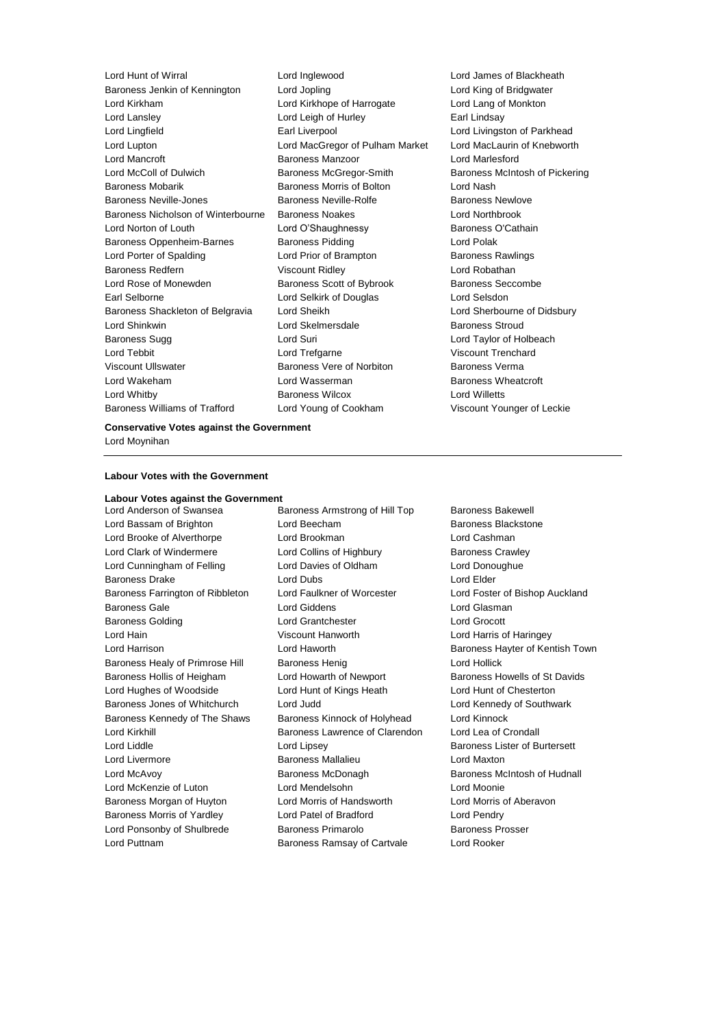Lord Hunt of Wirral Lord Inglewood Lord James of Blackheath Baroness Jenkin of Kennington Lord Jopling Lord King of Bridgwater Lord Kirkham Lord Kirkhope of Harrogate Lord Lang of Monkton Lord Lansley Lord Leigh of Hurley Earl Lindsay Lord Lingfield Earl Liverpool Lord Livingston of Parkhead Lord Lupton Lord MacGregor of Pulham Market Lord MacLaurin of Knebworth Lord Mancroft **Baroness Manzoor** Lord Marlesford Lord McColl of Dulwich Baroness McGregor-Smith Baroness McIntosh of Pickering Baroness Mobarik Baroness Morris of Bolton Lord Nash Baroness Neville-Jones Baroness Neville-Rolfe Baroness Newlove Baroness Nicholson of Winterbourne Baroness Noakes Lord Northbrook Lord Norton of Louth Lord O'Shaughnessy Baroness O'Cathain Baroness Oppenheim-Barnes Baroness Pidding Lord Polak Lord Porter of Spalding **Lord Prior of Brampton** Baroness Rawlings Baroness Redfern **Viscount Ridley Lord Robathan** Lord Rose of Monewden **Baroness Scott of Bybrook** Baroness Seccombe Earl Selborne Lord Selkirk of Douglas Lord Selsdon Baroness Shackleton of Belgravia Lord Sheikh Lord Sherbourne of Didsbury Lord Shinkwin Lord Skelmersdale Baroness Stroud Baroness Sugg **Lord Suri Lord Suri Lord Taylor of Holbeach** Lord Tebbit Lord Trefgarne Viscount Trenchard Viscount Ullswater Baroness Vere of Norbiton Baroness Verma Lord Wakeham **Lord Wasserman** Baroness Wheatcroft Lord Whitby Baroness Wilcox Lord Willetts Baroness Williams of Trafford Lord Young of Cookham Viscount Younger of Leckie

**Conservative Votes against the Government** Lord Moynihan

#### **Labour Votes with the Government**

#### **Labour Votes against the Government**

Lord Anderson of Swansea Baroness Armstrong of Hill Top Baroness Bakewell Lord Bassam of Brighton **Lord Beecham Lord Baroness Blackstone** Lord Brooke of Alverthorpe Lord Brookman Lord Cashman Lord Clark of Windermere **Lord Collins of Highbury** Baroness Crawley Lord Cunningham of Felling Lord Davies of Oldham Lord Donoughue Baroness Drake **Lord Dubs** Lord Dubs Lord Elder Lord Elder<br>Baroness Farrington of Ribbleton Lord Faulkner of Worcester Lord Foster of Bishop Auckland Baroness Farrington of Ribbleton Lord Faulkner of Worcester Baroness Gale Lord Giddens Lord Glasman Baroness Golding Lord Grantchester Lord Grocott Lord Hain Viscount Hanworth Lord Harris of Haringey Lord Harrison **Lord Haworth** Baroness Hayter of Kentish Town Baroness Healy of Primrose Hill Baroness Henig Contract Cord Hollick Baroness Hollis of Heigham Lord Howarth of Newport Baroness Howells of St Davids Lord Hughes of Woodside Lord Hunt of Kings Heath Lord Hunt of Chesterton Baroness Jones of Whitchurch Lord Judd Lord Kennedy of Southwark Baroness Kennedy of The Shaws Baroness Kinnock of Holyhead Lord Kinnock Lord Kirkhill **Baroness Lawrence of Clarendon** Lord Lea of Crondall Lord Liddle **Lord Lipsey** Lord Lipsey **Baroness Lister of Burtersett** Lord Livermore Baroness Mallalieu Lord Maxton Lord McAvoy **Baroness McDonagh** Baroness McDonagh Baroness McIntosh of Hudnall Lord McKenzie of Luton Lord Mendelsohn Lord Moonie Baroness Morgan of Huyton Lord Morris of Handsworth Lord Morris of Aberavon Baroness Morris of Yardley Lord Patel of Bradford Lord Pendry Lord Ponsonby of Shulbrede Baroness Primarolo Baroness Prosser Lord Puttnam Baroness Ramsay of Cartvale Lord Rooker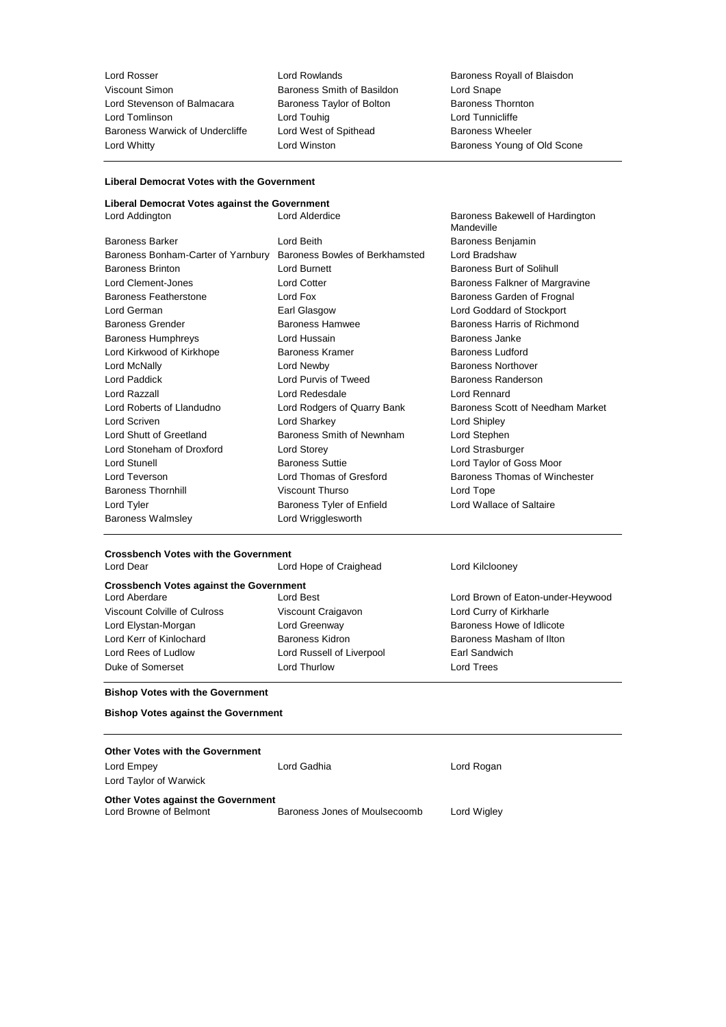Lord Rosser **Lord Rowlands Baroness Royall of Blaisdon** Viscount Simon **Baroness Smith of Basildon** Lord Snape<br>
Lord Stevenson of Balmacara Baroness Taylor of Bolton Baroness Thornton Lord Stevenson of Balmacara Baroness Taylor of Bolton Baroness Thorn<br>
Lord Tomlinson Lord Touhig<br>
Lord Touhig Baroness Warwick of Undercliffe Lord West of Spithead Baroness Warwick of Undercliffe Lord Winston

Lord Touhig<br>
Lord West of Spithead<br>
Baroness Wheeler

Baroness Young of Old Scone

## **Liberal Democrat Votes with the Government**

| Liberal Democrat Votes against the Government |                                |                                               |
|-----------------------------------------------|--------------------------------|-----------------------------------------------|
| Lord Addington                                | Lord Alderdice                 | Baroness Bakewell of Hardington<br>Mandeville |
| <b>Baroness Barker</b>                        | Lord Beith                     | Baroness Benjamin                             |
| Baroness Bonham-Carter of Yarnbury            | Baroness Bowles of Berkhamsted | Lord Bradshaw                                 |
| <b>Baroness Brinton</b>                       | Lord Burnett                   | Baroness Burt of Solihull                     |
| Lord Clement-Jones                            | <b>Lord Cotter</b>             | Baroness Falkner of Margravine                |
| Baroness Featherstone                         | Lord Fox                       | Baroness Garden of Frognal                    |
| Lord German                                   | Earl Glasgow                   | Lord Goddard of Stockport                     |
| <b>Baroness Grender</b>                       | <b>Baroness Hamwee</b>         | Baroness Harris of Richmond                   |
| <b>Baroness Humphreys</b>                     | Lord Hussain                   | Baroness Janke                                |
| Lord Kirkwood of Kirkhope                     | Baroness Kramer                | <b>Baroness Ludford</b>                       |
| Lord McNally                                  | Lord Newby                     | <b>Baroness Northover</b>                     |
| Lord Paddick                                  | Lord Purvis of Tweed           | Baroness Randerson                            |
| Lord Razzall                                  | Lord Redesdale                 | Lord Rennard                                  |
| Lord Roberts of Llandudno                     | Lord Rodgers of Quarry Bank    | Baroness Scott of Needham Market              |
| Lord Scriven                                  | Lord Sharkey                   | Lord Shipley                                  |
| Lord Shutt of Greetland                       | Baroness Smith of Newnham      | Lord Stephen                                  |
| Lord Stoneham of Droxford                     | Lord Storey                    | Lord Strasburger                              |
| <b>Lord Stunell</b>                           | <b>Baroness Suttie</b>         | Lord Taylor of Goss Moor                      |
| Lord Teverson                                 | Lord Thomas of Gresford        | Baroness Thomas of Winchester                 |
| <b>Baroness Thornhill</b>                     | Viscount Thurso                | Lord Tope                                     |
| Lord Tyler                                    | Baroness Tyler of Enfield      | Lord Wallace of Saltaire                      |
| <b>Baroness Walmsley</b>                      | Lord Wrigglesworth             |                                               |

# **Crossbench Votes with the Government**

**Crossbench Votes against the Government** Viscount Colville of Culross Viscount Craigavon Lord Curry of Kirkharle Lord Elystan-Morgan Lord Greenway Baroness Howe of Idlicote Lord Kerr of Kinlochard Baroness Kidron Baroness Masham of Ilton Lord Rees of Ludlow Lord Russell of Liverpool **Earl Sandwich** Duke of Somerset **Lord Thurlow** Lord Thurlow Lord Trees

Lord Hope of Craighead Lord Kilclooney

Lord Best Lord Brown of Eaton-under-Heywood

## **Bishop Votes with the Government**

| <b>Bishop Votes against the Government</b> |  |
|--------------------------------------------|--|
|--------------------------------------------|--|

| <b>Other Votes with the Government</b> |                               |             |  |
|----------------------------------------|-------------------------------|-------------|--|
| Lord Empey                             | Lord Gadhia                   | Lord Rogan  |  |
| Lord Taylor of Warwick                 |                               |             |  |
| Other Votes against the Government     |                               |             |  |
| Lord Browne of Belmont                 | Baroness Jones of Moulsecoomb | Lord Wigley |  |